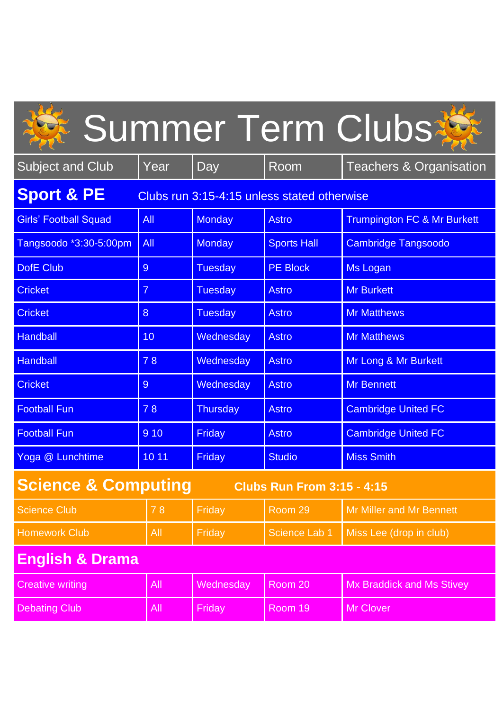|                                                                      |                |                 |                    | Summer Term Clubs                      |  |  |  |
|----------------------------------------------------------------------|----------------|-----------------|--------------------|----------------------------------------|--|--|--|
| <b>Subject and Club</b>                                              | Year           | Day             | Room               | <b>Teachers &amp; Organisation</b>     |  |  |  |
| <b>Sport &amp; PE</b><br>Clubs run 3:15-4:15 unless stated otherwise |                |                 |                    |                                        |  |  |  |
| <b>Girls' Football Squad</b>                                         | <b>All</b>     | <b>Monday</b>   | <b>Astro</b>       | <b>Trumpington FC &amp; Mr Burkett</b> |  |  |  |
| Tangsoodo *3:30-5:00pm                                               | All            | <b>Monday</b>   | <b>Sports Hall</b> | <b>Cambridge Tangsoodo</b>             |  |  |  |
| <b>DofE Club</b>                                                     | 9              | <b>Tuesday</b>  | <b>PE Block</b>    | <b>Ms Logan</b>                        |  |  |  |
| <b>Cricket</b>                                                       | $\overline{7}$ | <b>Tuesday</b>  | <b>Astro</b>       | <b>Mr Burkett</b>                      |  |  |  |
| <b>Cricket</b>                                                       | 8              | <b>Tuesday</b>  | <b>Astro</b>       | <b>Mr Matthews</b>                     |  |  |  |
| <b>Handball</b>                                                      | 10             | Wednesday       | <b>Astro</b>       | <b>Mr Matthews</b>                     |  |  |  |
| <b>Handball</b>                                                      | 78             | Wednesday       | <b>Astro</b>       | Mr Long & Mr Burkett                   |  |  |  |
| <b>Cricket</b>                                                       | $\overline{9}$ | Wednesday       | <b>Astro</b>       | <b>Mr Bennett</b>                      |  |  |  |
| <b>Football Fun</b>                                                  | 78             | <b>Thursday</b> | <b>Astro</b>       | <b>Cambridge United FC</b>             |  |  |  |
| <b>Football Fun</b>                                                  | 9 10           | <b>Friday</b>   | <b>Astro</b>       | <b>Cambridge United FC</b>             |  |  |  |
| Yoga @ Lunchtime                                                     | 10 11          | <b>Friday</b>   | <b>Studio</b>      | <b>Miss Smith</b>                      |  |  |  |
| <b>Science &amp; Computing</b><br><b>Clubs Run From 3:15 - 4:15</b>  |                |                 |                    |                                        |  |  |  |
| <b>Science Club</b>                                                  | 78             | Friday          | Room 29            | <b>Mr Miller and Mr Bennett</b>        |  |  |  |
| <b>Homework Club</b>                                                 | All            | <b>Friday</b>   | Science Lab 1      | Miss Lee (drop in club)                |  |  |  |
| <b>English &amp; Drama</b>                                           |                |                 |                    |                                        |  |  |  |
| <b>Creative writing</b>                                              | All            | Wednesday       | Room 20            | <b>Mx Braddick and Ms Stivey</b>       |  |  |  |
| <b>Debating Club</b>                                                 | All            | Friday          | Room 19            | <b>Mr Clover</b>                       |  |  |  |